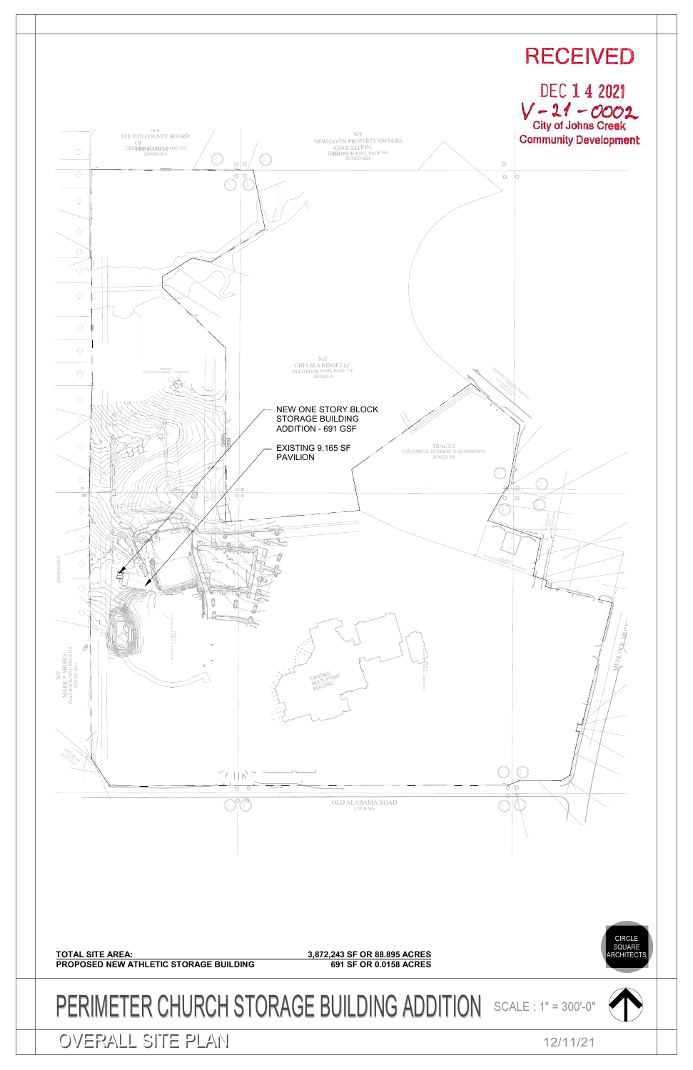<span id="page-0-0"></span>